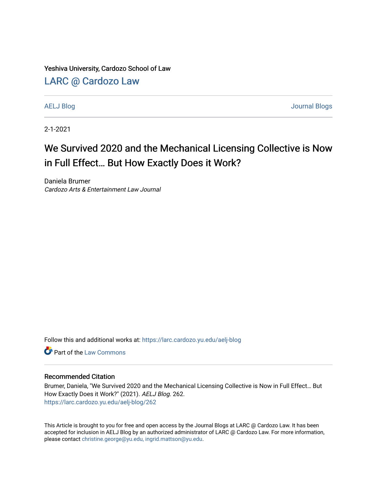Yeshiva University, Cardozo School of Law

## [LARC @ Cardozo Law](https://larc.cardozo.yu.edu/)

[AELJ Blog](https://larc.cardozo.yu.edu/aelj-blog) [Journal Blogs](https://larc.cardozo.yu.edu/journal-blogs) 

2-1-2021

# We Survived 2020 and the Mechanical Licensing Collective is Now in Full Effect… But How Exactly Does it Work?

Daniela Brumer Cardozo Arts & Entertainment Law Journal

Follow this and additional works at: [https://larc.cardozo.yu.edu/aelj-blog](https://larc.cardozo.yu.edu/aelj-blog?utm_source=larc.cardozo.yu.edu%2Faelj-blog%2F262&utm_medium=PDF&utm_campaign=PDFCoverPages) 

**C** Part of the [Law Commons](http://network.bepress.com/hgg/discipline/578?utm_source=larc.cardozo.yu.edu%2Faelj-blog%2F262&utm_medium=PDF&utm_campaign=PDFCoverPages)

#### Recommended Citation

Brumer, Daniela, "We Survived 2020 and the Mechanical Licensing Collective is Now in Full Effect… But How Exactly Does it Work?" (2021). AELJ Blog. 262. [https://larc.cardozo.yu.edu/aelj-blog/262](https://larc.cardozo.yu.edu/aelj-blog/262?utm_source=larc.cardozo.yu.edu%2Faelj-blog%2F262&utm_medium=PDF&utm_campaign=PDFCoverPages) 

This Article is brought to you for free and open access by the Journal Blogs at LARC @ Cardozo Law. It has been accepted for inclusion in AELJ Blog by an authorized administrator of LARC @ Cardozo Law. For more information, please contact [christine.george@yu.edu, ingrid.mattson@yu.edu.](mailto:christine.george@yu.edu,%20ingrid.mattson@yu.edu)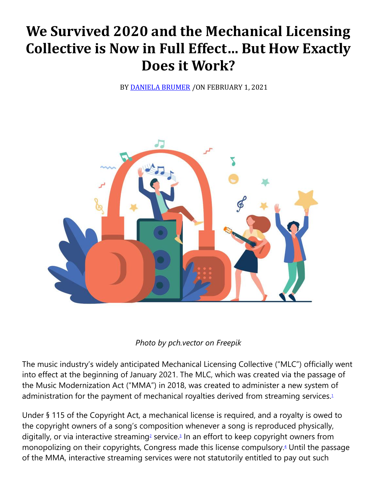# **We Survived 2020 and the Mechanical Licensing Collective is Now in Full Effect… But How Exactly Does it Work?**

BY **[DANIELA BRUMER](https://cardozoaelj.com/author/daniela-brumer/)** / ON FEBRUARY 1, 2021



### *Photo by pch.vector on Freepik*

The music industry's widely anticipated Mechanical Licensing Collective ("MLC") officially went into effect at the beginning of January 2021. The MLC, which was created via the passage of the Music Modernization Act ("MMA") in 2018, was created to administer a new system of administration for the payment of mechanical royalties derived from streaming services[.](https://cardozoaelj.com/2021/02/01/we-survived-2020-and-the-mechanical-licensing-collective-is-now-in-full-effect-but-how-exactly-does-it-work/#easy-footnote-bottom-1-6619)<sup>1</sup>

Under § 115 of the Copyright Act, a mechanical license is required, and a royalty is owed to the copyright owners of a song's composition whenever a song is reproduced physically, di[g](https://cardozoaelj.com/2021/02/01/we-survived-2020-and-the-mechanical-licensing-collective-is-now-in-full-effect-but-how-exactly-does-it-work/#easy-footnote-bottom-2-6619)itally, or via interactive streaming<sup>2</sup> service[.](https://cardozoaelj.com/2021/02/01/we-survived-2020-and-the-mechanical-licensing-collective-is-now-in-full-effect-but-how-exactly-does-it-work/#easy-footnote-bottom-3-6619)<sup>3</sup> In an effort to keep copyright owners from monopolizing on their copyrights, Congress made this license compulsory[.](https://cardozoaelj.com/2021/02/01/we-survived-2020-and-the-mechanical-licensing-collective-is-now-in-full-effect-but-how-exactly-does-it-work/#easy-footnote-bottom-4-6619)<sup>4</sup> Until the passage of the MMA, interactive streaming services were not statutorily entitled to pay out such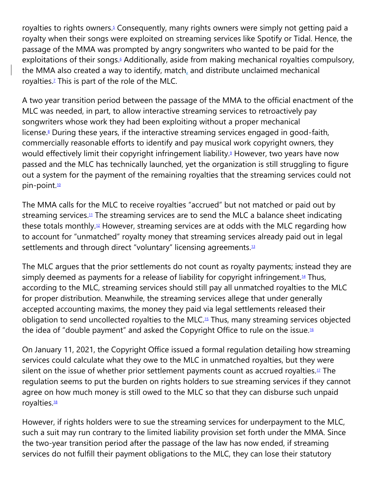royalties to rights owners[.](https://cardozoaelj.com/2021/02/01/we-survived-2020-and-the-mechanical-licensing-collective-is-now-in-full-effect-but-how-exactly-does-it-work/#easy-footnote-bottom-5-6619)<sup>5</sup> Consequently, many rights owners were simply not getting paid a royalty when their songs were exploited on streaming services like Spotify or Tidal. Hence, the passage of the MMA was prompted by angry songwriters who wanted to be paid for the exploitations of their songs[.](https://cardozoaelj.com/2021/02/01/we-survived-2020-and-the-mechanical-licensing-collective-is-now-in-full-effect-but-how-exactly-does-it-work/#easy-footnote-bottom-6-6619)<sup>6</sup> Additionally, aside from making mechanical royalties compulsory, the MMA also created a way to identify, match, and distribute unclaimed mechanical royalties[.](https://cardozoaelj.com/2021/02/01/we-survived-2020-and-the-mechanical-licensing-collective-is-now-in-full-effect-but-how-exactly-does-it-work/#easy-footnote-bottom-7-6619)<sup>7</sup> This is part of the role of the MLC.

A two year transition period between the passage of the MMA to the official enactment of the MLC was needed, in part, to allow interactive streaming services to retroactively pay songwriters whose work they had been exploiting without a proper mechanical license[.](https://cardozoaelj.com/2021/02/01/we-survived-2020-and-the-mechanical-licensing-collective-is-now-in-full-effect-but-how-exactly-does-it-work/#easy-footnote-bottom-8-6619)<sup>8</sup> During these years, if the interactive streaming services engaged in good-faith, commercially reasonable efforts to identify and pay musical work copyright owners, they would effectively limit their copyright infringement liability[.](https://cardozoaelj.com/2021/02/01/we-survived-2020-and-the-mechanical-licensing-collective-is-now-in-full-effect-but-how-exactly-does-it-work/#easy-footnote-bottom-9-6619)<sup>9</sup> However, two years have now passed and the MLC has technically launched, yet the organization is still struggling to figure out a system for the payment of the remaining royalties that the streaming services could not pin-point.<sup>[10](https://cardozoaelj.com/2021/02/01/we-survived-2020-and-the-mechanical-licensing-collective-is-now-in-full-effect-but-how-exactly-does-it-work/#easy-footnote-bottom-10-6619)</sup>

The MMA calls for the MLC to receive royalties "accrued" but not matched or paid out by streaming services.<sup>[11](https://cardozoaelj.com/2021/02/01/we-survived-2020-and-the-mechanical-licensing-collective-is-now-in-full-effect-but-how-exactly-does-it-work/#easy-footnote-bottom-11-6619)</sup> The streaming services are to send the MLC a balance sheet indicating these totals monthly.<sup>[12](https://cardozoaelj.com/2021/02/01/we-survived-2020-and-the-mechanical-licensing-collective-is-now-in-full-effect-but-how-exactly-does-it-work/#easy-footnote-bottom-12-6619)</sup> However, streaming services are at odds with the MLC regarding how to account for "unmatched" royalty money that streaming services already paid out in legal settlements and through direct "voluntary" licensing agreements.<sup>[13](https://cardozoaelj.com/2021/02/01/we-survived-2020-and-the-mechanical-licensing-collective-is-now-in-full-effect-but-how-exactly-does-it-work/#easy-footnote-bottom-13-6619)</sup>

The MLC argues that the prior settlements do not count as royalty payments; instead they are simply deemed as payments for a release of liability for copyright infringement.<sup>[14](https://cardozoaelj.com/2021/02/01/we-survived-2020-and-the-mechanical-licensing-collective-is-now-in-full-effect-but-how-exactly-does-it-work/#easy-footnote-bottom-14-6619)</sup> Thus, according to the MLC, streaming services should still pay all unmatched royalties to the MLC for proper distribution. Meanwhile, the streaming services allege that under generally accepted accounting maxims, the money they paid via legal settlements released their obligation to send uncollected royalties to the MLC.[15](https://cardozoaelj.com/2021/02/01/we-survived-2020-and-the-mechanical-licensing-collective-is-now-in-full-effect-but-how-exactly-does-it-work/#easy-footnote-bottom-15-6619) Thus, many streaming services objected the idea of "double payment" and asked the Copyright Office to rule on the issue.[16](https://cardozoaelj.com/2021/02/01/we-survived-2020-and-the-mechanical-licensing-collective-is-now-in-full-effect-but-how-exactly-does-it-work/#easy-footnote-bottom-16-6619)

On January 11, 2021, the Copyright Office issued a formal regulation detailing how streaming services could calculate what they owe to the MLC in unmatched royalties, but they were silent on the issue of whether prior settlement payments count as accrued royalties. $11$  The regulation seems to put the burden on rights holders to sue streaming services if they cannot agree on how much money is still owed to the MLC so that they can disburse such unpaid royalties.<sup>[18](https://cardozoaelj.com/2021/02/01/we-survived-2020-and-the-mechanical-licensing-collective-is-now-in-full-effect-but-how-exactly-does-it-work/#easy-footnote-bottom-18-6619)</sup>

However, if rights holders were to sue the streaming services for underpayment to the MLC, such a suit may run contrary to the limited liability provision set forth under the MMA. Since the two-year transition period after the passage of the law has now ended, if streaming services do not fulfill their payment obligations to the MLC, they can lose their statutory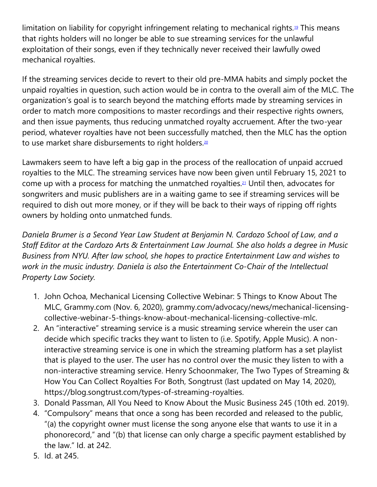limitation on liability for copyright infringement relating to mechanical rights.<sup>[19](https://cardozoaelj.com/2021/02/01/we-survived-2020-and-the-mechanical-licensing-collective-is-now-in-full-effect-but-how-exactly-does-it-work/#easy-footnote-bottom-19-6619)</sup> This means that rights holders will no longer be able to sue streaming services for the unlawful exploitation of their songs, even if they technically never received their lawfully owed mechanical royalties.

If the streaming services decide to revert to their old pre-MMA habits and simply pocket the unpaid royalties in question, such action would be in contra to the overall aim of the MLC. The organization's goal is to search beyond the matching efforts made by streaming services in order to match more compositions to master recordings and their respective rights owners, and then issue payments, thus reducing unmatched royalty accruement. After the two-year period, whatever royalties have not been successfully matched, then the MLC has the option to use market share disbursements to right holders.<sup>[20](https://cardozoaelj.com/2021/02/01/we-survived-2020-and-the-mechanical-licensing-collective-is-now-in-full-effect-but-how-exactly-does-it-work/#easy-footnote-bottom-20-6619)</sup>

Lawmakers seem to have left a big gap in the process of the reallocation of unpaid accrued royalties to the MLC. The streaming services have now been given until February 15, 2021 to come up with a process for matching the unmatched royalties.[21](https://cardozoaelj.com/2021/02/01/we-survived-2020-and-the-mechanical-licensing-collective-is-now-in-full-effect-but-how-exactly-does-it-work/#easy-footnote-bottom-21-6619) Until then, advocates for songwriters and music publishers are in a waiting game to see if streaming services will be required to dish out more money, or if they will be back to their ways of ripping off rights owners by holding onto unmatched funds.

*Daniela Brumer is a Second Year Law Student at Benjamin N. Cardozo School of Law, and a Staff Editor at the Cardozo Arts & Entertainment Law Journal. She also holds a degree in Music Business from NYU. After law school, she hopes to practice Entertainment Law and wishes to work in the music industry. Daniela is also the Entertainment Co-Chair of the Intellectual Property Law Society.*

- 1. John Ochoa, Mechanical Licensing Collective Webinar: 5 Things to Know About The MLC, Grammy.com (Nov. 6, 2020), grammy.com/advocacy/news/mechanical-licensingcollective-webinar-5-things-know-about-mechanical-licensing-collective-mlc.
- 2. An "interactive" streaming service is a music streaming service wherein the user can decide which specific tracks they want to listen to (i.e. Spotify, Apple Music). A noninteractive streaming service is one in which the streaming platform has a set playlist that is played to the user. The user has no control over the music they listen to with a non-interactive streaming service. Henry Schoonmaker, The Two Types of Streaming & How You Can Collect Royalties For Both, Songtrust (last updated on May 14, 2020), https://blog.songtrust.com/types-of-streaming-royalties.
- 3. Donald Passman, All You Need to Know About the Music Business 245 (10th ed. 2019).
- 4. "Compulsory" means that once a song has been recorded and released to the public, "(a) the copyright owner must license the song anyone else that wants to use it in a phonorecord," and "(b) that license can only charge a specific payment established by the law." Id. at 242.
- 5. Id. at 245.